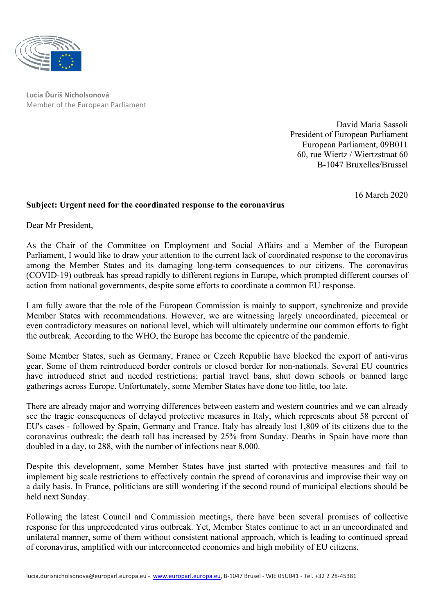

**Lucia Ďuriš Nicholsonová** Member of the European Parliament

> David Maria Sassoli President of European Parliament European Parliament, 09B011 60, rue Wiertz / Wiertzstraat 60 B-1047 Bruxelles/Brussel

> > 16 March 2020

## **Subject: Urgent need for the coordinated response to the coronavirus**

Dear Mr President,

As the Chair of the Committee on Employment and Social Affairs and a Member of the European Parliament, I would like to draw your attention to the current lack of coordinated response to the coronavirus among the Member States and its damaging long-term consequences to our citizens. The coronavirus (COVID-19) outbreak has spread rapidly to different regions in Europe, which prompted different courses of action from national governments, despite some efforts to coordinate a common EU response.

I am fully aware that the role of the European Commission is mainly to support, synchronize and provide Member States with recommendations. However, we are witnessing largely uncoordinated, piecemeal or even contradictory measures on national level, which will ultimately undermine our common efforts to fight the outbreak. According to the WHO, the Europe has become the epicentre of the pandemic.

Some Member States, such as Germany, France or Czech Republic have blocked the export of anti-virus gear. Some of them reintroduced border controls or closed border for non-nationals. Several EU countries have introduced strict and needed restrictions; partial travel bans, shut down schools or banned large gatherings across Europe. Unfortunately, some Member States have done too little, too late.

There are already major and worrying differences between eastern and western countries and we can already see the tragic consequences of delayed protective measures in Italy, which represents about 58 percent of EU's cases - followed by Spain, Germany and France. Italy has already lost 1,809 of its citizens due to the coronavirus outbreak; the death toll has increased by 25% from Sunday. Deaths in Spain have more than doubled in a day, to 288, with the number of infections near 8,000.

Despite this development, some Member States have just started with protective measures and fail to implement big scale restrictions to effectively contain the spread of coronavirus and improvise their way on a daily basis. In France, politicians are still wondering if the second round of municipal elections should be held next Sunday.

Following the latest Council and Commission meetings, there have been several promises of collective response for this unprecedented virus outbreak. Yet, Member States continue to act in an uncoordinated and unilateral manner, some of them without consistent national approach, which is leading to continued spread of coronavirus, amplified with our interconnected economies and high mobility of EU citizens.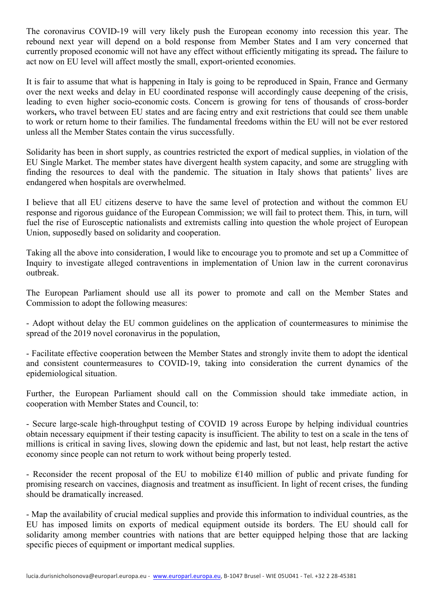The coronavirus COVID-19 will very likely push the European economy into recession this year. The rebound next year will depend on a bold response from Member States and I am very concerned that currently proposed economic will not have any effect without efficiently mitigating its spread**.** The failure to act now on EU level will affect mostly the small, export-oriented economies.

It is fair to assume that what is happening in Italy is going to be reproduced in Spain, France and Germany over the next weeks and delay in EU coordinated response will accordingly cause deepening of the crisis, leading to even higher socio-economic costs. Concern is growing for tens of thousands of cross-border workers**,** who travel between EU states and are facing entry and exit restrictions that could see them unable to work or return home to their families. The fundamental freedoms within the EU will not be ever restored unless all the Member States contain the virus successfully.

Solidarity has been in short supply, as countries restricted the export of medical supplies, in violation of the EU Single Market. The member states have divergent health system capacity, and some are struggling with finding the resources to deal with the pandemic. The situation in Italy shows that patients' lives are endangered when hospitals are overwhelmed.

I believe that all EU citizens deserve to have the same level of protection and without the common EU response and rigorous guidance of the European Commission; we will fail to protect them. This, in turn, will fuel the rise of Eurosceptic nationalists and extremists calling into question the whole project of European Union, supposedly based on solidarity and cooperation.

Taking all the above into consideration, I would like to encourage you to promote and set up a Committee of Inquiry to investigate alleged contraventions in implementation of Union law in the current coronavirus outbreak.

The European Parliament should use all its power to promote and call on the Member States and Commission to adopt the following measures:

- Adopt without delay the EU common guidelines on the application of countermeasures to minimise the spread of the 2019 novel coronavirus in the population.

- Facilitate effective cooperation between the Member States and strongly invite them to adopt the identical and consistent countermeasures to COVID-19, taking into consideration the current dynamics of the epidemiological situation.

Further, the European Parliament should call on the Commission should take immediate action, in cooperation with Member States and Council, to:

- Secure large-scale high-throughput testing of COVID 19 across Europe by helping individual countries obtain necessary equipment if their testing capacity is insufficient. The ability to test on a scale in the tens of millions is critical in saving lives, slowing down the epidemic and last, but not least, help restart the active economy since people can not return to work without being properly tested.

- Reconsider the recent proposal of the EU to mobilize  $\epsilon$ 140 million of public and private funding for promising research on vaccines, diagnosis and treatment as insufficient. In light of recent crises, the funding should be dramatically increased.

- Map the availability of crucial medical supplies and provide this information to individual countries, as the EU has imposed limits on exports of medical equipment outside its borders. The EU should call for solidarity among member countries with nations that are better equipped helping those that are lacking specific pieces of equipment or important medical supplies.